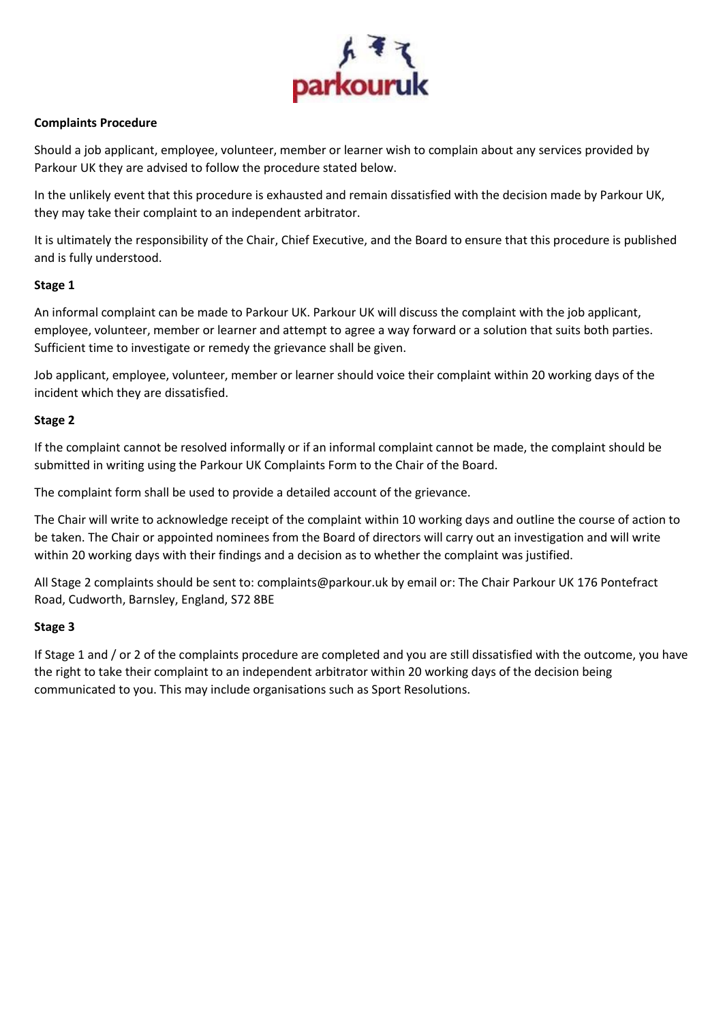

### **Complaints Procedure**

Should a job applicant, employee, volunteer, member or learner wish to complain about any services provided by Parkour UK they are advised to follow the procedure stated below.

In the unlikely event that this procedure is exhausted and remain dissatisfied with the decision made by Parkour UK, they may take their complaint to an independent arbitrator.

It is ultimately the responsibility of the Chair, Chief Executive, and the Board to ensure that this procedure is published and is fully understood.

### **Stage 1**

An informal complaint can be made to Parkour UK. Parkour UK will discuss the complaint with the job applicant, employee, volunteer, member or learner and attempt to agree a way forward or a solution that suits both parties. Sufficient time to investigate or remedy the grievance shall be given.

Job applicant, employee, volunteer, member or learner should voice their complaint within 20 working days of the incident which they are dissatisfied.

### **Stage 2**

If the complaint cannot be resolved informally or if an informal complaint cannot be made, the complaint should be submitted in writing using the Parkour UK Complaints Form to the Chair of the Board.

The complaint form shall be used to provide a detailed account of the grievance.

The Chair will write to acknowledge receipt of the complaint within 10 working days and outline the course of action to be taken. The Chair or appointed nominees from the Board of directors will carry out an investigation and will write within 20 working days with their findings and a decision as to whether the complaint was justified.

All Stage 2 complaints should be sent to: complaints@parkour.uk by email or: The Chair Parkour UK 176 Pontefract Road, Cudworth, Barnsley, England, S72 8BE

## **Stage 3**

If Stage 1 and / or 2 of the complaints procedure are completed and you are still dissatisfied with the outcome, you have the right to take their complaint to an independent arbitrator within 20 working days of the decision being communicated to you. This may include organisations such as Sport Resolutions.